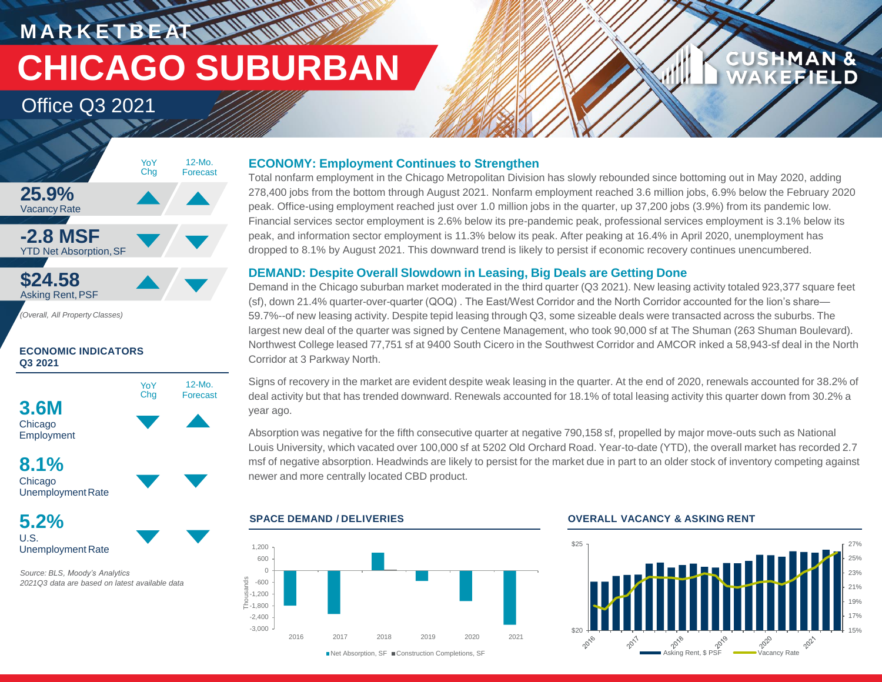**MARKETBEATT CHICAGO SUBURBAN**

**HATTAN** 

## Office Q3 2021



*(Overall, All Property Classes)*

### **ECONOMIC INDICATORS Q3 2021**



**8.1%** Chicago Unemployment Rate

**5.2%** U.S. Unemployment Rate

*Source: BLS, Moody's Analytics 2021Q3 data are based on latest available data*

### **ECONOMY: Employment Continues to Strengthen**

Total nonfarm employment in the Chicago Metropolitan Division has slowly rebounded since bottoming out in May 2020, adding 278,400 jobs from the bottom through August 2021. Nonfarm employment reached 3.6 million jobs, 6.9% below the February 2020 peak. Office-using employment reached just over 1.0 million jobs in the quarter, up 37,200 jobs (3.9%) from its pandemic low. Financial services sector employment is 2.6% below its pre-pandemic peak, professional services employment is 3.1% below its peak, and information sector employment is 11.3% below its peak. After peaking at 16.4% in April 2020, unemployment has dropped to 8.1% by August 2021. This downward trend is likely to persist if economic recovery continues unencumbered.

### **DEMAND: Despite Overall Slowdown in Leasing, Big Deals are Getting Done**

Demand in the Chicago suburban market moderated in the third quarter (Q3 2021). New leasing activity totaled 923,377 square feet (sf), down 21.4% quarter-over-quarter (QOQ) . The East/West Corridor and the North Corridor accounted for the lion's share— 59.7%--of new leasing activity. Despite tepid leasing through Q3, some sizeable deals were transacted across the suburbs. The largest new deal of the quarter was signed by Centene Management, who took 90,000 sf at The Shuman (263 Shuman Boulevard). Northwest College leased 77,751 sf at 9400 South Cicero in the Southwest Corridor and AMCOR inked a 58,943-sf deal in the North Corridor at 3 Parkway North.

Signs of recovery in the market are evident despite weak leasing in the quarter. At the end of 2020, renewals accounted for 38.2% of deal activity but that has trended downward. Renewals accounted for 18.1% of total leasing activity this quarter down from 30.2% a year ago.

Absorption was negative for the fifth consecutive quarter at negative 790,158 sf, propelled by major move-outs such as National Louis University, which vacated over 100,000 sf at 5202 Old Orchard Road. Year-to-date (YTD), the overall market has recorded 2.7 msf of negative absorption. Headwinds are likely to persist for the market due in part to an older stock of inventory competing against newer and more centrally located CBD product.





### **SPACE DEMAND / DELIVERIES OVERALL VACANCY & ASKING RENT**



**CUSHMAN &** 

**KEFIELD**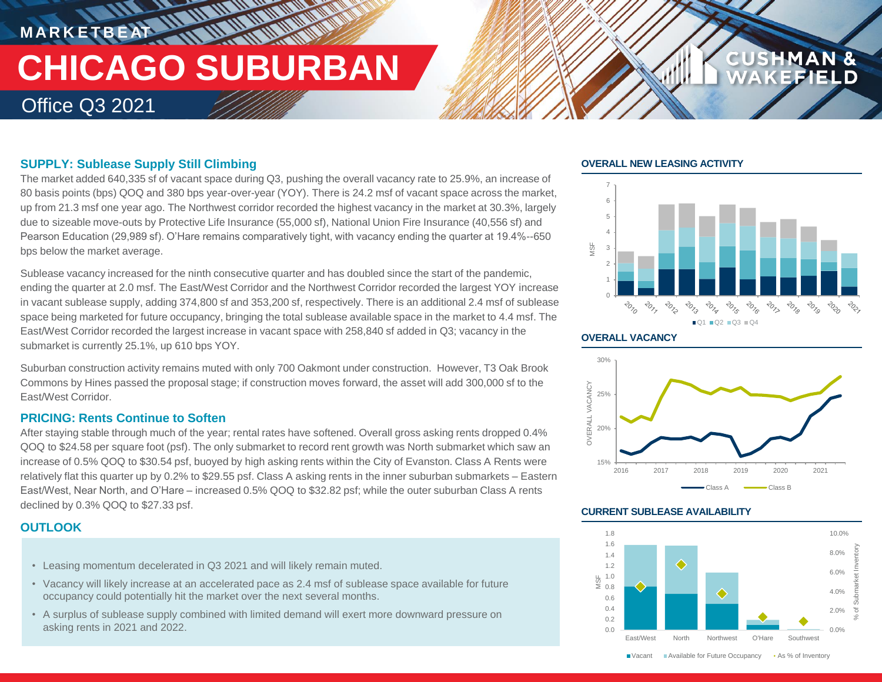## **MARKETBEAT 11 MMWWWW THE ULTIMATER CHICAGO SUBURBAN** Office Q3 2021

### **SUPPLY: Sublease Supply Still Climbing**

The market added 640,335 sf of vacant space during Q3, pushing the overall vacancy rate to 25.9%, an increase of 80 basis points (bps) QOQ and 380 bps year-over-year (YOY). There is 24.2 msf of vacant space across the market, up from 21.3 msf one year ago. The Northwest corridor recorded the highest vacancy in the market at 30.3%, largely due to sizeable move-outs by Protective Life Insurance (55,000 sf), National Union Fire Insurance (40,556 sf) and Pearson Education (29,989 sf). O'Hare remains comparatively tight, with vacancy ending the quarter at 19.4%--650 bps below the market average.

Sublease vacancy increased for the ninth consecutive quarter and has doubled since the start of the pandemic, ending the quarter at 2.0 msf. The East/West Corridor and the Northwest Corridor recorded the largest YOY increase in vacant sublease supply, adding 374,800 sf and 353,200 sf, respectively. There is an additional 2.4 msf of sublease space being marketed for future occupancy, bringing the total sublease available space in the market to 4.4 msf. The East/West Corridor recorded the largest increase in vacant space with 258,840 sf added in Q3; vacancy in the submarket is currently 25.1%, up 610 bps YOY.

Suburban construction activity remains muted with only 700 Oakmont under construction. However, T3 Oak Brook Commons by Hines passed the proposal stage; if construction moves forward, the asset will add 300,000 sf to the East/West Corridor.

### **PRICING: Rents Continue to Soften**

After staying stable through much of the year; rental rates have softened. Overall gross asking rents dropped 0.4% QOQ to \$24.58 per square foot (psf). The only submarket to record rent growth was North submarket which saw an increase of 0.5% QOQ to \$30.54 psf, buoyed by high asking rents within the City of Evanston. Class A Rents were relatively flat this quarter up by 0.2% to \$29.55 psf. Class A asking rents in the inner suburban submarkets – Eastern East/West, Near North, and O'Hare – increased 0.5% QOQ to \$32.82 psf; while the outer suburban Class A rents declined by 0.3% QOQ to \$27.33 psf.

### **OUTLOOK**

- Leasing momentum decelerated in Q3 2021 and will likely remain muted.
- Vacancy will likely increase at an accelerated pace as 2.4 msf of sublease space available for future occupancy could potentially hit the market over the next several months.
- A surplus of sublease supply combined with limited demand will exert more downward pressure on asking rents in 2021 and 2022. **2021 and 2022.** Contact the contact of the contact of the contact of the contact of the contact of the contact of the contact of the contact of the contact of the contact of the contact of t

### **OVERALL NEW LEASING ACTIVITY**



**CUSHMAN &** 

### **OVERALL VACANCY**



### **CURRENT SUBLEASE AVAILABILITY**



■ Vacant Available for Future Occupancy • As % of Inventory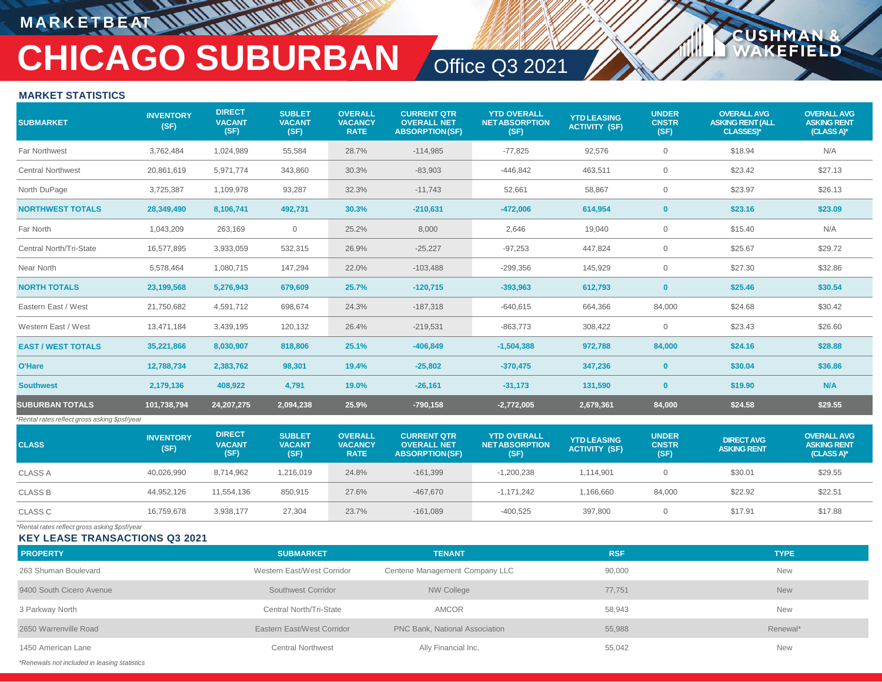## **M A R K E T B E AT**

# **CHICAGO SUBURBAN** Office Q3 2021

**USHM** 

FI D

### **MARKET STATISTICS**

| <b>SUBMARKET</b>                              | <b>INVENTORY</b><br>(SF) | <b>DIRECT</b><br><b>VACANT</b><br>(SF) | <b>SUBLET</b><br><b>VACANT</b><br>(SF) | <b>OVERALL</b><br><b>VACANCY</b><br><b>RATE</b> | <b>CURRENT QTR</b><br><b>OVERALL NET</b><br><b>ABSORPTION(SF)</b> | <b>YTD OVERALL</b><br><b>NETABSORPTION</b><br>(SF) | <b>YTD LEASING</b><br><b>ACTIVITY (SF)</b> | <b>UNDER</b><br><b>CNSTR</b><br>(SF) | <b>OVERALL AVG</b><br><b>ASKING RENT (ALL</b><br><b>CLASSES)*</b> | <b>OVERALL AVG</b><br><b>ASKING RENT</b><br>(CLASS A)* |
|-----------------------------------------------|--------------------------|----------------------------------------|----------------------------------------|-------------------------------------------------|-------------------------------------------------------------------|----------------------------------------------------|--------------------------------------------|--------------------------------------|-------------------------------------------------------------------|--------------------------------------------------------|
| Far Northwest                                 | 3,762,484                | 1,024,989                              | 55,584                                 | 28.7%                                           | $-114,985$                                                        | $-77,825$                                          | 92,576                                     | $\overline{0}$                       | \$18.94                                                           | N/A                                                    |
| <b>Central Northwest</b>                      | 20,861,619               | 5,971,774                              | 343,860                                | 30.3%                                           | $-83,903$                                                         | $-446,842$                                         | 463,511                                    | $\overline{0}$                       | \$23.42                                                           | \$27.13                                                |
| North DuPage                                  | 3,725,387                | 1,109,978                              | 93,287                                 | 32.3%                                           | $-11,743$                                                         | 52,661                                             | 58,867                                     | $\mathbf{0}$                         | \$23.97                                                           | \$26.13                                                |
| <b>NORTHWEST TOTALS</b>                       | 28,349,490               | 8,106,741                              | 492,731                                | 30.3%                                           | $-210,631$                                                        | $-472,006$                                         | 614,954                                    | $\mathbf{0}$                         | \$23.16                                                           | \$23.09                                                |
| Far North                                     | 1,043,209                | 263,169                                | 0                                      | 25.2%                                           | 8,000                                                             | 2,646                                              | 19,040                                     | $\mathbf 0$                          | \$15.40                                                           | N/A                                                    |
| Central North/Tri-State                       | 16,577,895               | 3,933,059                              | 532,315                                | 26.9%                                           | $-25,227$                                                         | $-97,253$                                          | 447,824                                    | $\overline{0}$                       | \$25.67                                                           | \$29.72                                                |
| Near North                                    | 5,578,464                | 1,080,715                              | 147,294                                | 22.0%                                           | $-103,488$                                                        | $-299,356$                                         | 145,929                                    | $\overline{0}$                       | \$27.30                                                           | \$32.86                                                |
| <b>NORTH TOTALS</b>                           | 23,199,568               | 5,276,943                              | 679,609                                | 25.7%                                           | $-120,715$                                                        | $-393.963$                                         | 612,793                                    | $\mathbf{0}$                         | \$25.46                                                           | \$30.54                                                |
| Eastern East / West                           | 21,750,682               | 4,591,712                              | 698,674                                | 24.3%                                           | $-187,318$                                                        | $-640,615$                                         | 664,366                                    | 84,000                               | \$24.68                                                           | \$30.42                                                |
| Western East / West                           | 13,471,184               | 3,439,195                              | 120,132                                | 26.4%                                           | $-219,531$                                                        | $-863,773$                                         | 308,422                                    | $\overline{0}$                       | \$23.43                                                           | \$26.60                                                |
| <b>EAST / WEST TOTALS</b>                     | 35,221,866               | 8,030,907                              | 818,806                                | 25.1%                                           | $-406,849$                                                        | $-1,504,388$                                       | 972,788                                    | 84,000                               | \$24.16                                                           | \$28.88                                                |
| O'Hare                                        | 12,788,734               | 2,383,762                              | 98,301                                 | 19.4%                                           | $-25,802$                                                         | $-370,475$                                         | 347,236                                    | $\mathbf{0}$                         | \$30.04                                                           | \$36.86                                                |
| <b>Southwest</b>                              | 2,179,136                | 408,922                                | 4,791                                  | 19.0%                                           | $-26,161$                                                         | $-31,173$                                          | 131,590                                    | $\mathbf{0}$                         | \$19.90                                                           | N/A                                                    |
| <b>SUBURBAN TOTALS</b>                        | 101,738,794              | 24, 207, 275                           | 2,094,238                              | 25.9%                                           | $-790, 158$                                                       | $-2,772,005$                                       | 2,679,361                                  | 84,000                               | \$24.58                                                           | \$29.55                                                |
| *Rental rates reflect gross asking \$psf/year |                          |                                        |                                        |                                                 |                                                                   |                                                    |                                            |                                      |                                                                   |                                                        |
| <b>CLASS</b>                                  | <b>INVENTORY</b><br>(SF) | <b>DIRECT</b><br><b>VACANT</b><br>(SF) | <b>SUBLET</b><br><b>VACANT</b><br>(SF) | <b>OVERALL</b><br><b>VACANCY</b><br><b>RATE</b> | <b>CURRENT QTR</b><br><b>OVERALL NET</b><br><b>ABSORPTION(SF)</b> | <b>YTD OVERALL</b><br><b>NETABSORPTION</b><br>(SF) | <b>YTD LEASING</b><br><b>ACTIVITY (SF)</b> | <b>UNDER</b><br><b>CNSTR</b><br>(SF) | <b>DIRECT AVG</b><br><b>ASKING RENT</b>                           | <b>OVERALL AVG</b><br><b>ASKING RENT</b><br>(CLASS A)* |
| <b>CLASS A</b>                                | 40,026,990               | 8,714,962                              | 1,216,019                              | 24.8%                                           | $-161,399$                                                        | $-1,200,238$                                       | 1,114,901                                  | $\overline{0}$                       | \$30.01                                                           | \$29.55                                                |
| <b>CLASS B</b>                                | 44,952,126               | 11,554,136                             | 850,915                                | 27.6%                                           | $-467,670$                                                        | $-1,171,242$                                       | 1,166,660                                  | 84,000                               | \$22.92                                                           | \$22.51                                                |
| <b>CLASS C</b>                                | 16,759,678               | 3,938,177                              | 27,304                                 | 23.7%                                           | $-161,089$                                                        | $-400,525$                                         | 397,800                                    | $\overline{0}$                       | \$17.91                                                           | \$17.88                                                |
|                                               |                          |                                        |                                        |                                                 |                                                                   |                                                    |                                            |                                      |                                                                   |                                                        |

*\*Rental rates reflect gross asking \$psf/year*

**KEY LEASE TRANSACTIONS Q3 2021**

| <b>PROPERTY</b>                              | <b>SUBMARKET</b>           | <b>TENANT</b>                  | <b>RSF</b> | <b>TYPE</b> |
|----------------------------------------------|----------------------------|--------------------------------|------------|-------------|
| 263 Shuman Boulevard                         | Western East/West Corridor | Centene Management Company LLC | 90,000     | <b>New</b>  |
| 9400 South Cicero Avenue                     | Southwest Corridor         | NW College                     | 77,751     | <b>New</b>  |
| 3 Parkway North                              | Central North/Tri-State    | AMCOR                          | 58,943     | <b>New</b>  |
| 2650 Warrenville Road                        | Eastern East/West Corridor | PNC Bank, National Association | 55,988     | Renewal*    |
| 1450 American Lane                           | Central Northwest          | Ally Financial Inc.            | 55,042     | <b>New</b>  |
| *Renewals not included in leasing statistics |                            |                                |            |             |